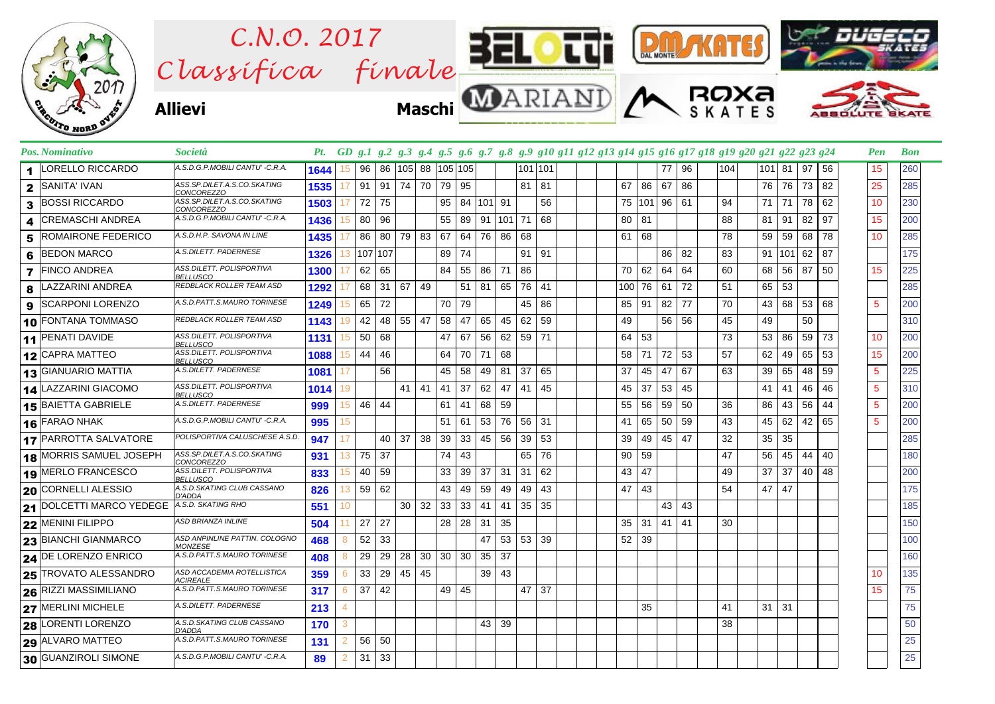

|              | Pos. Nominativo                | <b>Società</b>                                   |      |    |         |      |              |    |                                      |    |           |    |          | Pt. GD g.1 g.2 g.3 g.4 g.5 g.6 g.7 g.8 g.9 g10 g11 g12 g13 g14 g15 g16 g17 g18 g19 g20 g21 g22 g23 g24 |  |     |     |    |    |     |                 |    |    |    | Pen | <b>Bon</b> |
|--------------|--------------------------------|--------------------------------------------------|------|----|---------|------|--------------|----|--------------------------------------|----|-----------|----|----------|--------------------------------------------------------------------------------------------------------|--|-----|-----|----|----|-----|-----------------|----|----|----|-----|------------|
|              | LORELLO RICCARDO               | A.S.D.G.P.MOBILI CANTU' -C.R.A.                  | 1644 | 15 | 96      |      | 86   105     |    | 88 105 105                           |    |           |    | 101 101  |                                                                                                        |  |     |     | 77 | 96 | 104 | $101$ 81        |    | 97 | 56 | 15  | 260        |
| $\mathbf{2}$ | <b>SANITA' IVAN</b>            | ASS.SP.DILET.A.S.CO.SKATING<br><b>CONCOREZZO</b> | 1535 | 17 | 91      | 91   | 74 70        |    | 79                                   | 95 |           |    | 81       | 81                                                                                                     |  | 67  | 86  | 67 | 86 |     | 76              | 76 | 73 | 82 | 25  | 285        |
| 3            | <b>BOSSI RICCARDO</b>          | ASS.SP.DILET.A.S.CO.SKATING<br>CONCOREZZO        | 1503 | 17 | 72 75   |      |              |    | 95                                   |    | 84 101 91 |    |          | 56                                                                                                     |  | 75  | 101 | 96 | 61 | 94  | $71$   $71$     |    | 78 | 62 | 10  | 230        |
|              | <b>CREMASCHI ANDREA</b>        | A.S.D.G.P.MOBILI CANTU' -C.R.A.                  | 1436 | 15 | 80      | 96   |              |    | 55                                   | 89 | 91 101    |    | 71       | 68                                                                                                     |  | 80  | 81  |    |    | 88  | 81              | 91 | 82 | 97 | 15  | 200        |
| 5            | <b>ROMAIRONE FEDERICO</b>      | A.S.D.H.P. SAVONA IN LINE                        | 1435 |    | 86      | 80 l | 79 83        |    | 67                                   | 64 | 76 86     |    | 68       |                                                                                                        |  | 61  | 68  |    |    | 78  | 59              | 59 | 68 | 78 | 10  | 285        |
| 6            | <b>BEDON MARCO</b>             | A.S.DILETT. PADERNESE                            | 1326 | 13 | 107 107 |      |              |    | 89                                   | 74 |           |    | 91       | 91                                                                                                     |  |     |     | 86 | 82 | 83  | 91 101          |    | 62 | 87 |     | 175        |
|              | <b>7</b> FINCO ANDREA          | ASS.DILETT. POLISPORTIVA<br><b>BELLUSCO</b>      | 1300 | 17 | 62      | 65   |              |    | 84                                   | 55 | 86 71     |    | 86       |                                                                                                        |  | 70  | 62  | 64 | 64 | 60  | 68              | 56 | 87 | 50 | 15  | 225        |
| 8            | LAZZARINI ANDREA               | REDBLACK ROLLER TEAM ASD                         | 1292 |    | 68      | 31   | 67           | 49 |                                      | 51 | 81 65     |    | 76       | 41                                                                                                     |  | 100 | 76  | 61 | 72 | 51  | 65 53           |    |    |    |     | 285        |
| 9            | <b>SCARPONI LORENZO</b>        | A.S.D.PATT.S.MAURO TORINESE                      | 1249 | 15 | 65      | 72   |              |    | 70 79                                |    |           |    | 45       | 86                                                                                                     |  | 85  | 91  | 82 | 77 | 70  | 43 <sup>1</sup> | 68 | 53 | 68 | 5   | 200        |
|              | 10 FONTANA TOMMASO             | REDBLACK ROLLER TEAM ASD                         | 1143 | 19 | 42      | 48   | 55 47        |    | 58                                   | 47 | 65        | 45 | 62       | 59                                                                                                     |  | 49  |     | 56 | 56 | 45  | 49              |    | 50 |    |     | 310        |
|              | 11 PENATI DAVIDE               | ASS.DILETT. POLISPORTIVA<br><b>BELLUSCO</b>      | 1131 | 15 | 50      | 68   |              |    | 47                                   | 67 | 56        | 62 | 59       | 71                                                                                                     |  | 64  | 53  |    |    | 73  | 53              | 86 | 59 | 73 | 10  | 200        |
|              | 12 CAPRA MATTEO                | ASS.DILETT. POLISPORTIVA<br><b>BELLUSCO</b>      | 1088 | 15 | 44      | 46   |              |    | 64                                   | 70 | 71        | 68 |          |                                                                                                        |  | 58  | 71  | 72 | 53 | 57  | 62              | 49 | 65 | 53 | 15  | 200        |
|              | 13 GIANUARIO MATTIA            | A.S.DILETT. PADERNESE                            | 1081 | 17 |         | 56   |              |    | 45                                   | 58 | 49 81     |    | 37       | 65                                                                                                     |  | 37  | 45  | 47 | 67 | 63  | 39              | 65 | 48 | 59 | 5   | 225        |
|              | 14 LAZZARINI GIACOMO           | ASS.DILETT. POLISPORTIVA<br><b>BELLUSCO</b>      | 1014 | 19 |         |      | $41 \mid 41$ |    | 41                                   | 37 | 62 47     |    | 41       | 45                                                                                                     |  | 45  | 37  | 53 | 45 |     | 41              | 41 | 46 | 46 | 5   | 310        |
|              | 15 BAIETTA GABRIELE            | A.S.DILETT. PADERNESE                            | 999  | 15 | 46      | 44   |              |    | 61                                   | 41 | 68 59     |    |          |                                                                                                        |  | 55  | 56  | 59 | 50 | 36  | 86              | 43 | 56 | 44 | 5   | 200        |
|              | 16 FARAO NHAK                  | A.S.D.G.P.MOBILI CANTU' -C.R.A.                  | 995  | 15 |         |      |              |    | 51                                   | 61 | 53        | 76 | 56       | -31                                                                                                    |  | 41  | 65  | 50 | 59 | 43  | 45              | 62 | 42 | 65 | 5   | 200        |
|              | <b>17 PARROTTA SALVATORE</b>   | POLISPORTIVA CALUSCHESE A.S.D.                   | 947  | 17 |         | 40   | 37           | 38 | 39                                   | 33 | 45 56     |    | 39       | 53                                                                                                     |  | 39  | 49  | 45 | 47 | 32  | 35              | 35 |    |    |     | 285        |
|              | <b>18 MORRIS SAMUEL JOSEPH</b> | ASS.SP.DILET.A.S.CO.SKATING<br><b>CONCOREZZO</b> | 931  | 13 | 75      | 37   |              |    | 74                                   | 43 |           |    | 65       | 76                                                                                                     |  | 90  | 59  |    |    | 47  | 56              | 45 | 44 | 40 |     | 180        |
|              | 19 MERLO FRANCESCO             | ASS.DILETT. POLISPORTIVA<br><b>BELLUSCO</b>      | 833  | 15 | 40      | 59   |              |    | 33                                   | 39 | $37$ 31   |    | 31       | 62                                                                                                     |  | 43  | 47  |    |    | 49  | 37              | 37 | 40 | 48 |     | 200        |
|              | 20 CORNELLI ALESSIO            | A.S.D.SKATING CLUB CASSANO<br><b>D'ADDA</b>      | 826  | 13 | 59      | 62   |              |    | 43                                   | 49 | 59        | 49 | 49       | 43                                                                                                     |  | 47  | 43  |    |    | 54  | 47              | 47 |    |    |     | 175        |
|              | 21 DOLCETTI MARCO YEDEGE       | A.S.D. SKATING RHO                               | 551  | 10 |         |      | $30 \mid 32$ |    | 33                                   | 33 | $-41$     | 41 | 35       | 35                                                                                                     |  |     |     | 43 | 43 |     |                 |    |    |    |     | 185        |
|              | 22 MENINI FILIPPO              | ASD BRIANZA INLINE                               | 504  | 11 | 27      | 27   |              |    | 28                                   | 28 | 31        | 35 |          |                                                                                                        |  | 35  | 31  | 41 | 41 | 30  |                 |    |    |    |     | 150        |
|              | <b>23 BIANCHI GIANMARCO</b>    | ASD ANPINLINE PATTIN. COLOGNO<br><b>MONZESE</b>  | 468  | 8  | 52      | 33   |              |    |                                      |    |           |    | 47 53 53 | 39                                                                                                     |  | 52  | 39  |    |    |     |                 |    |    |    |     | 100        |
|              | 24 DE LORENZO ENRICO           | A.S.D.PATT.S.MAURO TORINESE                      | 408  | 8  | 29      | 29   | 28           |    | $30 \mid 30 \mid 30 \mid 35 \mid 37$ |    |           |    |          |                                                                                                        |  |     |     |    |    |     |                 |    |    |    |     | 160        |
|              | 25 TROVATO ALESSANDRO          | ASD ACCADEMIA ROTELLISTICA<br>ACIREALE           | 359  | 6  | 33      | 29   | 45           | 45 |                                      |    | 39 43     |    |          |                                                                                                        |  |     |     |    |    |     |                 |    |    |    | 10  | 135        |
|              | 26 RIZZI MASSIMILIANO          | A.S.D.PATT.S.MAURO TORINESE                      | 317  | 6  | $37$ 42 |      |              |    | 49 45                                |    |           |    | 47       | 37                                                                                                     |  |     |     |    |    |     |                 |    |    |    | 15  | 75         |
|              | 27 MERLINI MICHELE             | A.S.DILETT. PADERNESE                            | 213  | 4  |         |      |              |    |                                      |    |           |    |          |                                                                                                        |  |     | 35  |    |    | 41  | $31 \mid 31$    |    |    |    |     | 75         |
|              | 28 LORENTI LORENZO             | A.S.D.SKATING CLUB CASSANO<br>D'ADDA             | 170  | 3  |         |      |              |    |                                      |    | 43 39     |    |          |                                                                                                        |  |     |     |    |    | 38  |                 |    |    |    |     | 50         |
|              | <b>29 ALVARO MATTEO</b>        | A.S.D.PATT.S.MAURO TORINESE                      | 131  | 2  | 56      | 50   |              |    |                                      |    |           |    |          |                                                                                                        |  |     |     |    |    |     |                 |    |    |    |     | 25         |
|              | 30 GUANZIROLI SIMONE           | A.S.D.G.P.MOBILI CANTU' -C.R.A.                  | 89   | 2  | 31      | 33   |              |    |                                      |    |           |    |          |                                                                                                        |  |     |     |    |    |     |                 |    |    |    |     | 25         |